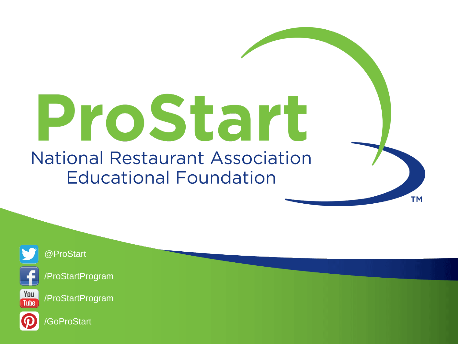# ProStart **National Restaurant Association Educational Foundation**

**TM** 



@ProStart



You **Tube**  /ProStartProgram

/ProStartProgram



**GoProStart**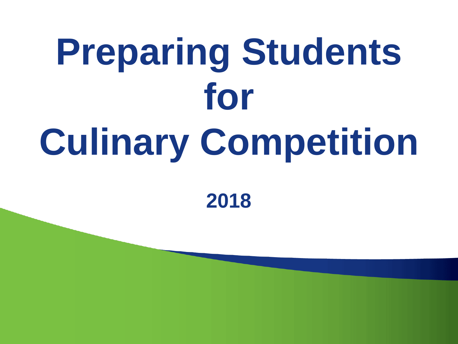# **Preparing Students for Culinary Competition**

**2018**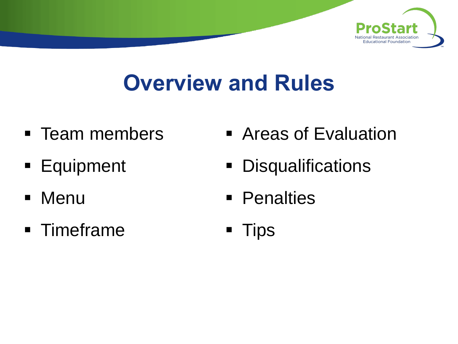

## **Overview and Rules**

- Team members
- **Equipment**
- Menu
- Timeframe
- Areas of Evaluation
- **Disqualifications**
- Penalties
- Tips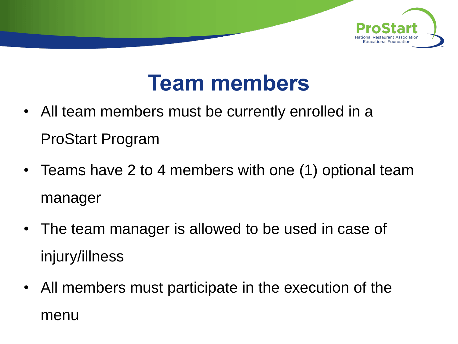

### **Team members**

- All team members must be currently enrolled in a ProStart Program
- Teams have 2 to 4 members with one (1) optional team manager
- The team manager is allowed to be used in case of injury/illness
- All members must participate in the execution of the menu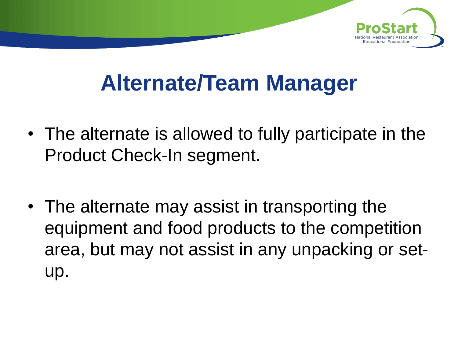

## **Alternate/Team Manager**

- The alternate is allowed to fully participate in the Product Check-In segment.
- The alternate may assist in transporting the equipment and food products to the competition area, but may not assist in any unpacking or setup.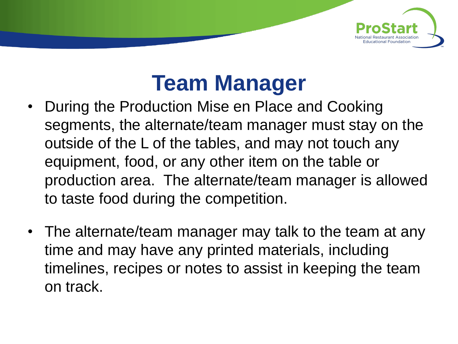

## **Team Manager**

- During the Production Mise en Place and Cooking segments, the alternate/team manager must stay on the outside of the L of the tables, and may not touch any equipment, food, or any other item on the table or production area. The alternate/team manager is allowed to taste food during the competition.
- The alternate/team manager may talk to the team at any time and may have any printed materials, including timelines, recipes or notes to assist in keeping the team on track.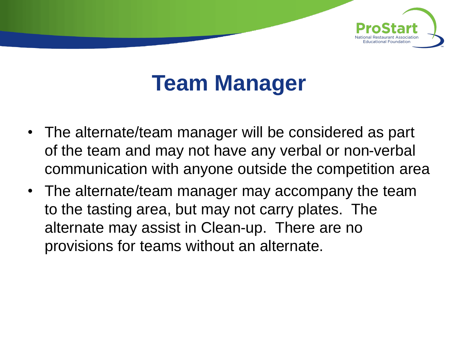

## **Team Manager**

- The alternate/team manager will be considered as part of the team and may not have any verbal or non-verbal communication with anyone outside the competition area
- The alternate/team manager may accompany the team to the tasting area, but may not carry plates. The alternate may assist in Clean-up. There are no provisions for teams without an alternate.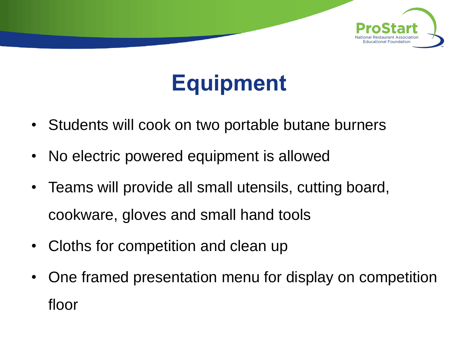

## **Equipment**

- Students will cook on two portable butane burners
- No electric powered equipment is allowed
- Teams will provide all small utensils, cutting board, cookware, gloves and small hand tools
- Cloths for competition and clean up
- One framed presentation menu for display on competition floor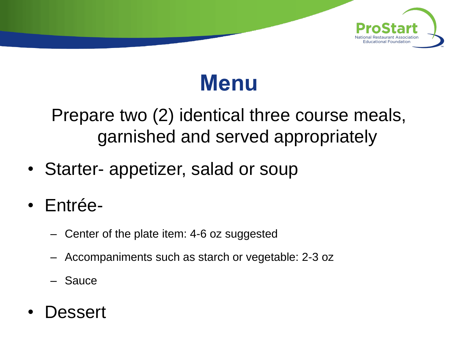



Prepare two (2) identical three course meals, garnished and served appropriately

- Starter- appetizer, salad or soup
- Entrée-
	- Center of the plate item: 4-6 oz suggested
	- Accompaniments such as starch or vegetable: 2-3 oz
	- **Sauce**
- Dessert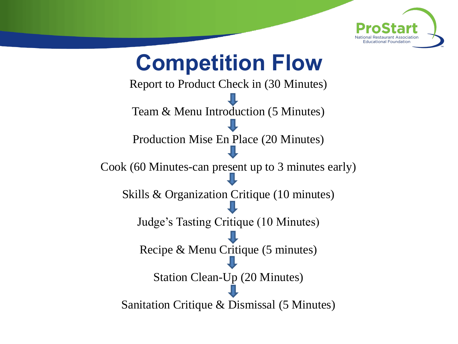

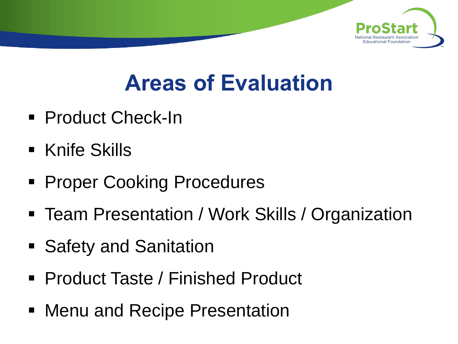

## **Areas of Evaluation**

- Product Check-In
- Knife Skills
- **Proper Cooking Procedures**
- Team Presentation / Work Skills / Organization
- Safety and Sanitation
- Product Taste / Finished Product
- Menu and Recipe Presentation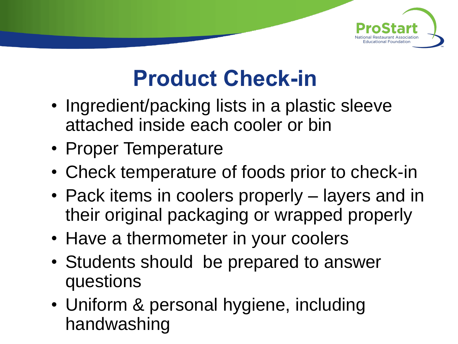

## **Product Check-in**

- Ingredient/packing lists in a plastic sleeve attached inside each cooler or bin
- Proper Temperature
- Check temperature of foods prior to check-in
- Pack items in coolers properly layers and in their original packaging or wrapped properly
- Have a thermometer in your coolers
- Students should be prepared to answer questions
- Uniform & personal hygiene, including handwashing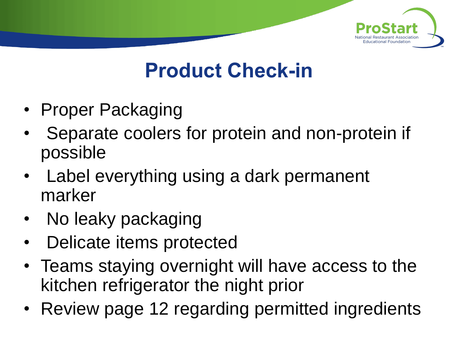

#### **Product Check-in**

- Proper Packaging
- Separate coolers for protein and non-protein if possible
- Label everything using a dark permanent marker
- No leaky packaging
- Delicate items protected
- Teams staying overnight will have access to the kitchen refrigerator the night prior
- Review page 12 regarding permitted ingredients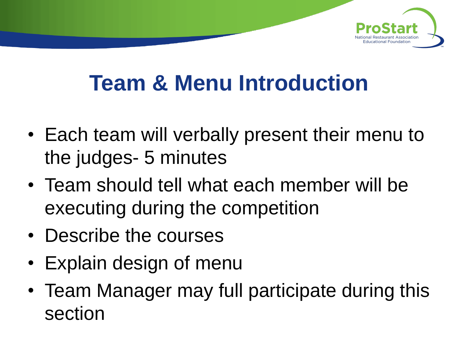

## **Team & Menu Introduction**

- Each team will verbally present their menu to the judges- 5 minutes
- Team should tell what each member will be executing during the competition
- Describe the courses
- Explain design of menu
- Team Manager may full participate during this section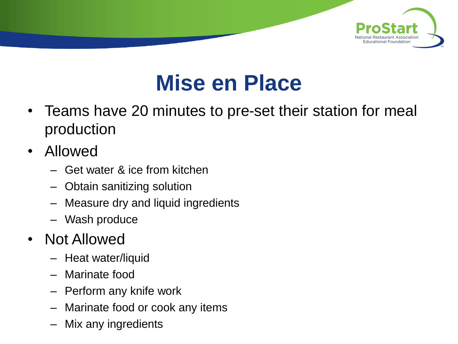

## **Mise en Place**

- Teams have 20 minutes to pre-set their station for meal production
- Allowed
	- Get water & ice from kitchen
	- Obtain sanitizing solution
	- Measure dry and liquid ingredients
	- Wash produce
- Not Allowed
	- Heat water/liquid
	- Marinate food
	- Perform any knife work
	- Marinate food or cook any items
	- Mix any ingredients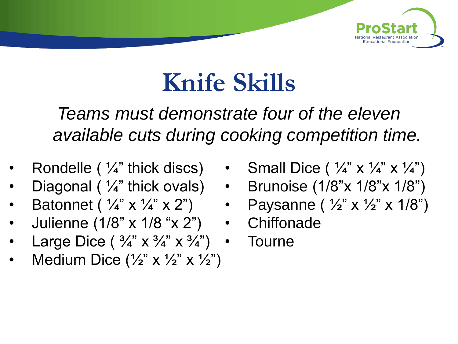

## **Knife Skills**

*Teams must demonstrate four of the eleven available cuts during cooking competition time.*

- Rondelle ( $\frac{1}{4}$ " thick discs)
- Diagonal ( ¼" thick ovals)
- Batonnet (  $\frac{1}{4}$ " x  $\frac{1}{4}$ " x 2")
- Julienne (1/8" x 1/8 "x 2")
- Large Dice  $(\frac{3}{4}$ " x  $\frac{3}{4}$ " x  $\frac{3}{4}$ ")
- Medium Dice  $(\frac{1}{2}$ " x  $\frac{1}{2}$ " x  $\frac{1}{2}$ ")
- Small Dice (  $\frac{1}{4}$ " x  $\frac{1}{4}$ " x  $\frac{1}{4}$ ")
- Brunoise (1/8"x 1/8"x 1/8")
	- Paysanne (  $\frac{1}{2}$ " x  $\frac{1}{2}$ " x 1/8")
- Chiffonade
- Tourne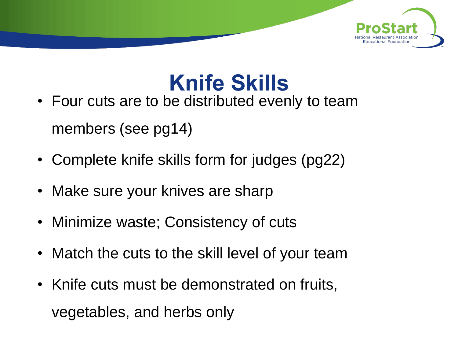

## **Knife Skills**

- Four cuts are to be distributed evenly to team members (see pg14)
- Complete knife skills form for judges (pg22)
- Make sure your knives are sharp
- Minimize waste; Consistency of cuts
- Match the cuts to the skill level of your team
- Knife cuts must be demonstrated on fruits, vegetables, and herbs only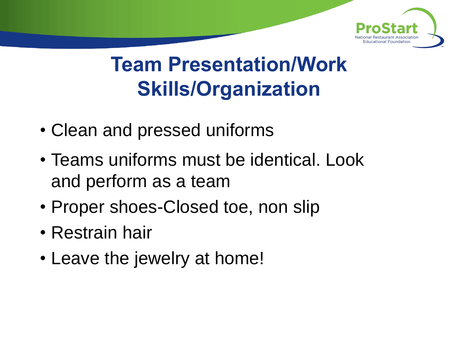

- Clean and pressed uniforms
- Teams uniforms must be identical. Look and perform as a team
- Proper shoes-Closed toe, non slip
- Restrain hair
- Leave the jewelry at home!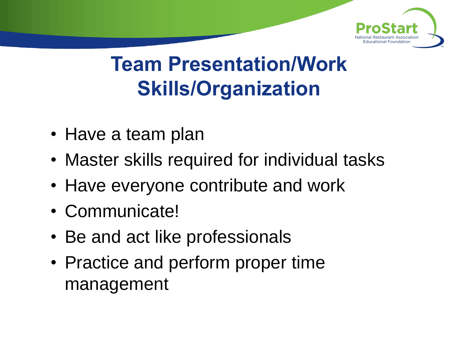

- Have a team plan
- Master skills required for individual tasks
- Have everyone contribute and work
- Communicate!
- Be and act like professionals
- Practice and perform proper time management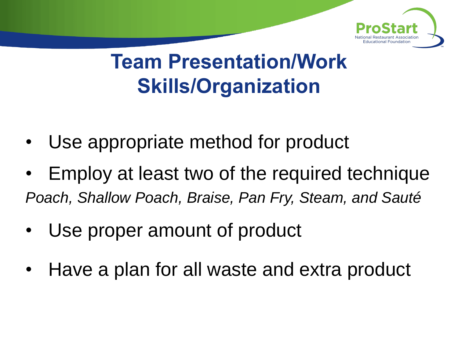

- Use appropriate method for product
- Employ at least two of the required technique *Poach, Shallow Poach, Braise, Pan Fry, Steam, and Sauté*
- Use proper amount of product
- Have a plan for all waste and extra product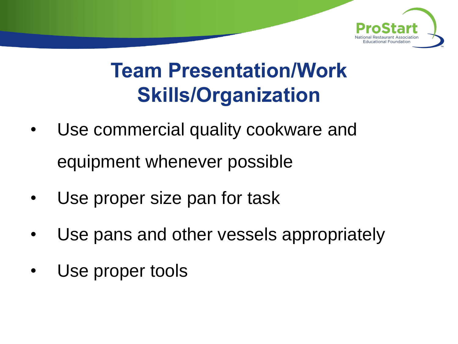

- Use commercial quality cookware and equipment whenever possible
- Use proper size pan for task
- Use pans and other vessels appropriately
- Use proper tools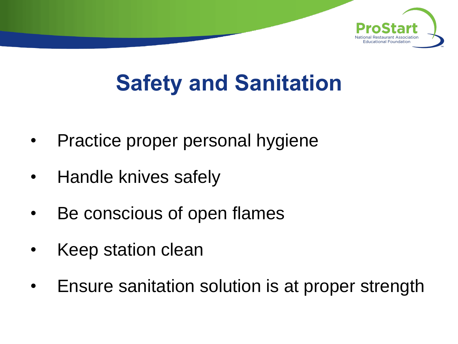

## **Safety and Sanitation**

- Practice proper personal hygiene
- Handle knives safely
- Be conscious of open flames
- Keep station clean
- Ensure sanitation solution is at proper strength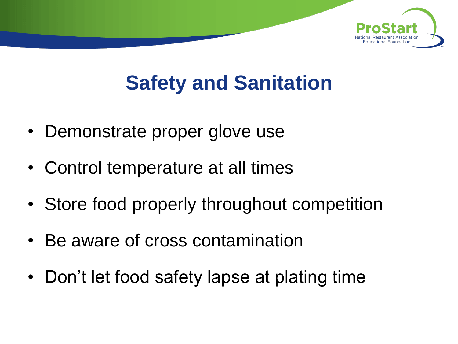

## **Safety and Sanitation**

- Demonstrate proper glove use
- Control temperature at all times
- Store food properly throughout competition
- Be aware of cross contamination
- Don't let food safety lapse at plating time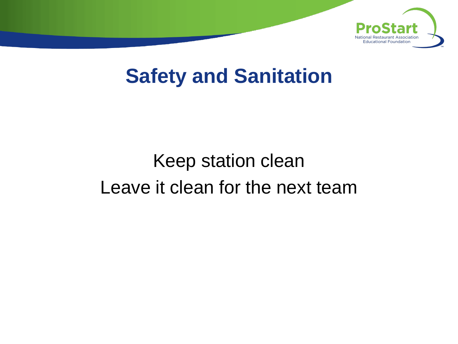

#### **Safety and Sanitation**

### Keep station clean Leave it clean for the next team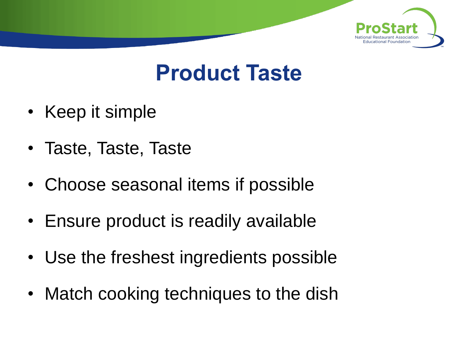

### **Product Taste**

- Keep it simple
- Taste, Taste, Taste
- Choose seasonal items if possible
- Ensure product is readily available
- Use the freshest ingredients possible
- Match cooking techniques to the dish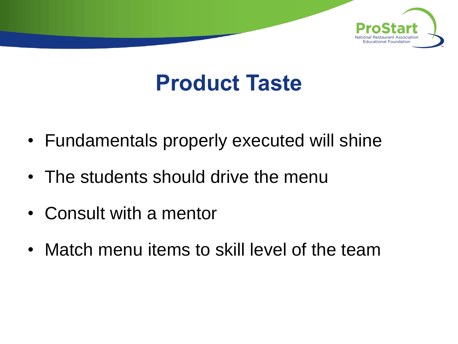

## **Product Taste**

- Fundamentals properly executed will shine
- The students should drive the menu
- Consult with a mentor
- Match menu items to skill level of the team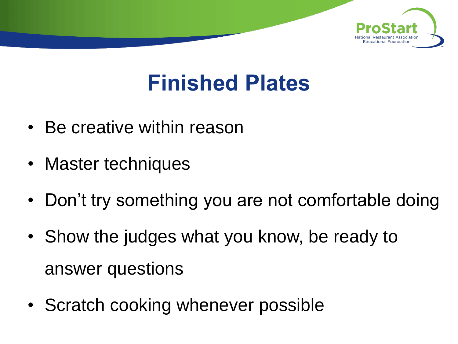

## **Finished Plates**

- Be creative within reason
- Master techniques
- Don't try something you are not comfortable doing
- Show the judges what you know, be ready to answer questions
- Scratch cooking whenever possible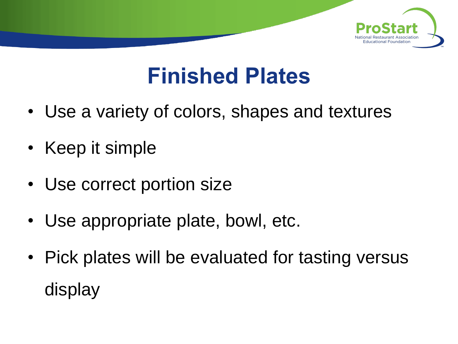

## **Finished Plates**

- Use a variety of colors, shapes and textures
- Keep it simple
- Use correct portion size
- Use appropriate plate, bowl, etc.
- Pick plates will be evaluated for tasting versus display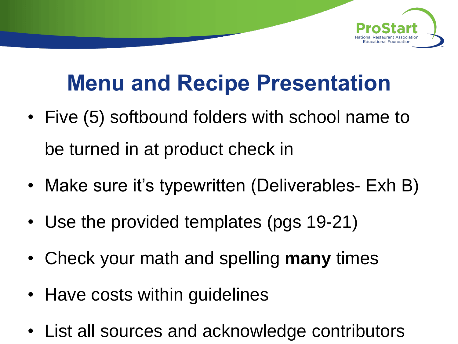

## **Menu and Recipe Presentation**

- Five (5) softbound folders with school name to be turned in at product check in
- Make sure it's typewritten (Deliverables- Exh B)
- Use the provided templates (pgs 19-21)
- Check your math and spelling **many** times
- Have costs within guidelines
- List all sources and acknowledge contributors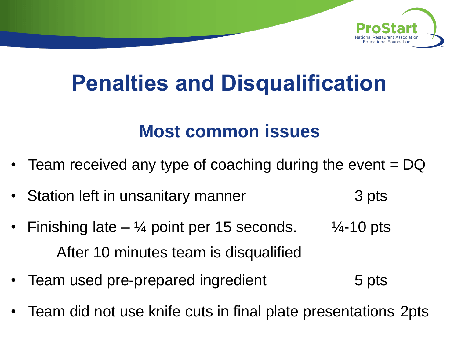

## **Penalties and Disqualification**

#### **Most common issues**

- Team received any type of coaching during the event  $=$  DQ
- Station left in unsanitary manner **3** pts
- Finishing late  $\frac{1}{4}$  point per 15 seconds.  $\frac{1}{4}$ -10 pts After 10 minutes team is disqualified
- Team used pre-prepared ingredient Team used pre-
- Team did not use knife cuts in final plate presentations 2pts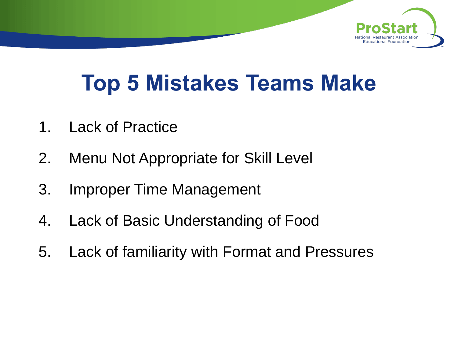

## **Top 5 Mistakes Teams Make**

- 1. Lack of Practice
- 2. Menu Not Appropriate for Skill Level
- 3. Improper Time Management
- 4. Lack of Basic Understanding of Food
- 5. Lack of familiarity with Format and Pressures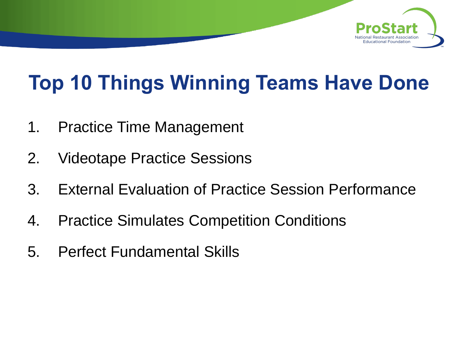

## **Top 10 Things Winning Teams Have Done**

- 1. Practice Time Management
- 2. Videotape Practice Sessions
- 3. External Evaluation of Practice Session Performance
- 4. Practice Simulates Competition Conditions
- 5. Perfect Fundamental Skills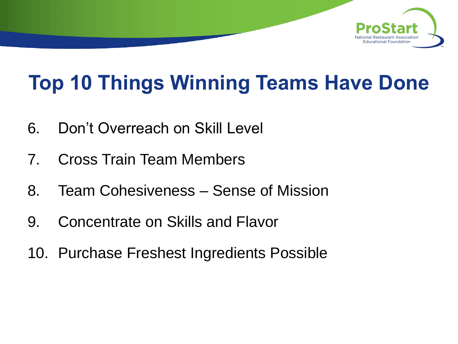

## **Top 10 Things Winning Teams Have Done**

- 6. Don't Overreach on Skill Level
- 7. Cross Train Team Members
- 8. Team Cohesiveness Sense of Mission
- 9. Concentrate on Skills and Flavor
- 10. Purchase Freshest Ingredients Possible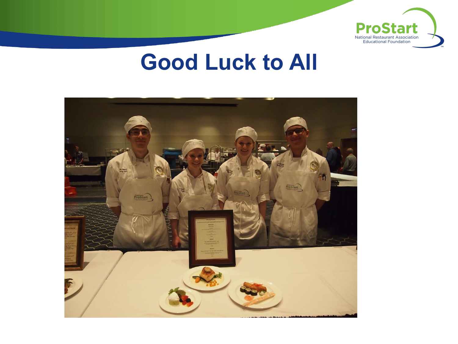

#### **Good Luck to All**